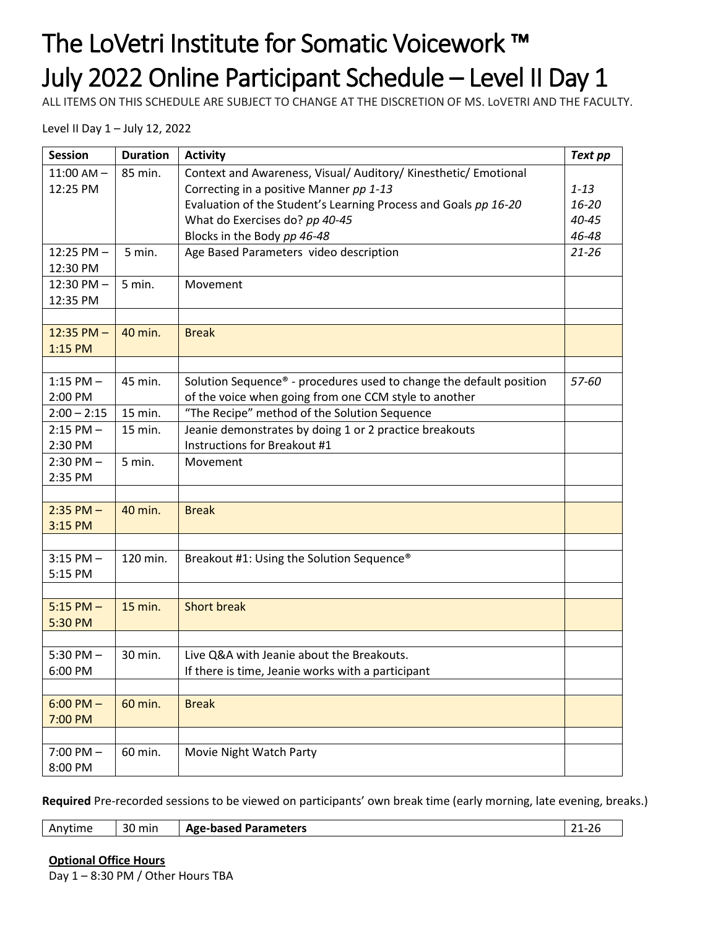## The LoVetri Institute for Somatic Voicework ™ July 2022 Online Participant Schedule – Level II Day 1

ALL ITEMS ON THIS SCHEDULE ARE SUBJECT TO CHANGE AT THE DISCRETION OF MS. LoVETRI AND THE FACULTY.

Level II Day 1 – July 12, 2022

| <b>Session</b> | <b>Duration</b> | <b>Activity</b>                                                     |           |  |
|----------------|-----------------|---------------------------------------------------------------------|-----------|--|
| $11:00$ AM $-$ | 85 min.         | Context and Awareness, Visual/ Auditory/ Kinesthetic/ Emotional     |           |  |
| 12:25 PM       |                 | Correcting in a positive Manner pp 1-13                             | $1 - 13$  |  |
|                |                 | Evaluation of the Student's Learning Process and Goals pp 16-20     | 16-20     |  |
|                |                 | What do Exercises do? pp 40-45                                      | 40-45     |  |
|                |                 | Blocks in the Body pp 46-48                                         | 46-48     |  |
| $12:25$ PM $-$ | 5 min.          | Age Based Parameters video description                              | $21 - 26$ |  |
| 12:30 PM       |                 |                                                                     |           |  |
| $12:30$ PM $-$ | 5 min.          | Movement                                                            |           |  |
| 12:35 PM       |                 |                                                                     |           |  |
|                |                 |                                                                     |           |  |
| $12:35$ PM $-$ | 40 min.         | <b>Break</b>                                                        |           |  |
| 1:15 PM        |                 |                                                                     |           |  |
|                |                 |                                                                     |           |  |
| $1:15$ PM $-$  | 45 min.         | Solution Sequence® - procedures used to change the default position | 57-60     |  |
| 2:00 PM        |                 | of the voice when going from one CCM style to another               |           |  |
| $2:00 - 2:15$  | 15 min.         | "The Recipe" method of the Solution Sequence                        |           |  |
| $2:15$ PM $-$  | 15 min.         | Jeanie demonstrates by doing 1 or 2 practice breakouts              |           |  |
| 2:30 PM        |                 | Instructions for Breakout #1                                        |           |  |
| $2:30$ PM $-$  | 5 min.          | Movement                                                            |           |  |
| 2:35 PM        |                 |                                                                     |           |  |
|                |                 |                                                                     |           |  |
| $2:35$ PM $-$  | 40 min.         | <b>Break</b>                                                        |           |  |
| 3:15 PM        |                 |                                                                     |           |  |
|                |                 |                                                                     |           |  |
| $3:15$ PM $-$  | 120 min.        | Breakout #1: Using the Solution Sequence <sup>®</sup>               |           |  |
| 5:15 PM        |                 |                                                                     |           |  |
|                |                 |                                                                     |           |  |
| $5:15 PM -$    | 15 min.         | <b>Short break</b>                                                  |           |  |
| 5:30 PM        |                 |                                                                     |           |  |
|                |                 |                                                                     |           |  |
| $5:30$ PM $-$  | 30 min.         | Live Q&A with Jeanie about the Breakouts.                           |           |  |
| 6:00 PM        |                 | If there is time, Jeanie works with a participant                   |           |  |
|                |                 |                                                                     |           |  |
| $6:00$ PM $-$  | 60 min.         | <b>Break</b>                                                        |           |  |
| 7:00 PM        |                 |                                                                     |           |  |
|                |                 |                                                                     |           |  |
| $7:00$ PM $-$  | 60 min.         | Movie Night Watch Party                                             |           |  |
| 8:00 PM        |                 |                                                                     |           |  |

**Required** Pre-recorded sessions to be viewed on participants' own break time (early morning, late evening, breaks.)

|--|

**Optional Office Hours** Day 1 – 8:30 PM / Other Hours TBA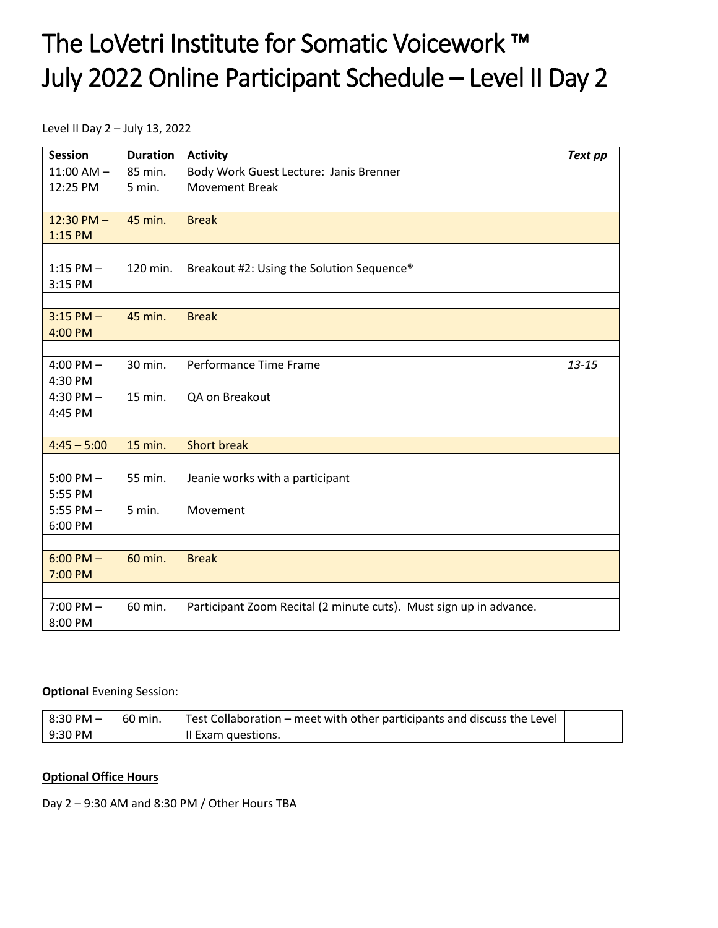### The LoVetri Institute for Somatic Voicework ™ July 2022 Online Participant Schedule – Level II Day 2

Level II Day 2 – July 13, 2022

| <b>Session</b> | <b>Duration</b> | <b>Activity</b><br><b>Text pp</b>                                  |           |
|----------------|-----------------|--------------------------------------------------------------------|-----------|
| $11:00$ AM $-$ | 85 min.         | Body Work Guest Lecture: Janis Brenner                             |           |
| 12:25 PM       | 5 min.          | <b>Movement Break</b>                                              |           |
|                |                 |                                                                    |           |
| $12:30$ PM $-$ | 45 min.         | <b>Break</b>                                                       |           |
| 1:15 PM        |                 |                                                                    |           |
|                |                 |                                                                    |           |
| 1:15 PM $-$    | 120 min.        | Breakout #2: Using the Solution Sequence®                          |           |
| 3:15 PM        |                 |                                                                    |           |
|                |                 |                                                                    |           |
| $3:15$ PM $-$  | 45 min.         | <b>Break</b>                                                       |           |
| 4:00 PM        |                 |                                                                    |           |
|                |                 |                                                                    |           |
| 4:00 PM $-$    | 30 min.         | Performance Time Frame                                             | $13 - 15$ |
| 4:30 PM        |                 |                                                                    |           |
| 4:30 PM $-$    | 15 min.         | QA on Breakout                                                     |           |
| 4:45 PM        |                 |                                                                    |           |
|                |                 |                                                                    |           |
| $4:45 - 5:00$  | 15 min.         | <b>Short break</b>                                                 |           |
|                |                 |                                                                    |           |
| $5:00$ PM $-$  | 55 min.         | Jeanie works with a participant                                    |           |
| 5:55 PM        |                 |                                                                    |           |
| 5:55 PM $-$    | 5 min.          | Movement                                                           |           |
| 6:00 PM        |                 |                                                                    |           |
|                |                 |                                                                    |           |
| $6:00$ PM $-$  | 60 min.         | <b>Break</b>                                                       |           |
| 7:00 PM        |                 |                                                                    |           |
|                |                 |                                                                    |           |
| $7:00$ PM $-$  | 60 min.         | Participant Zoom Recital (2 minute cuts). Must sign up in advance. |           |
| 8:00 PM        |                 |                                                                    |           |

#### **Optional** Evening Session:

| $\overline{8:}30$ PM $\overline{-}$ | $-60$ min. | Test Collaboration – meet with other participants and discuss the Level |  |
|-------------------------------------|------------|-------------------------------------------------------------------------|--|
| l 9:30 PM                           |            | Il Exam questions.                                                      |  |

#### **Optional Office Hours**

Day 2 – 9:30 AM and 8:30 PM / Other Hours TBA